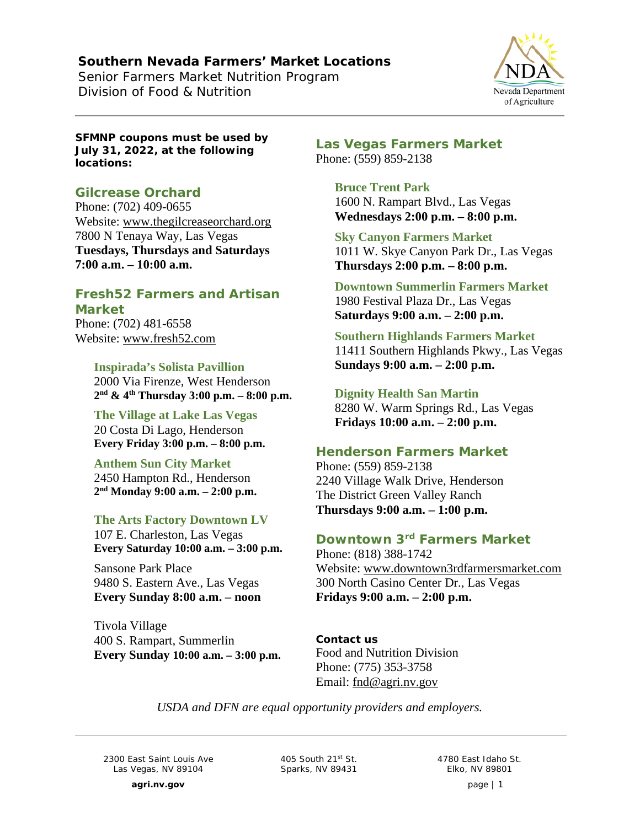## **Southern Nevada Farmers' Market Locations**

Senior Farmers Market Nutrition Program *Division of Food & Nutrition*



**SFMNP coupons must be used by July 31, 2022, at the following locations:**

# **Gilcrease Orchard**

Phone: (702) 409-0655 Website: [www.thegilcreaseorchard.org](http://www.thegilcreaseorchard.org/) 7800 N Tenaya Way, Las Vegas **Tuesdays, Thursdays and Saturdays 7:00 a.m. – 10:00 a.m.**

# **Fresh52 Farmers and Artisan Market**

Phone: (702) 481-6558 Website: [www.fresh52.com](http://www.fresh52.com/)

> **Inspirada's Solista Pavillion** 2000 Via Firenze, West Henderson **2nd & 4th Thursday 3:00 p.m. – 8:00 p.m.**

**The Village at Lake Las Vegas** 20 Costa Di Lago, Henderson **Every Friday 3:00 p.m. – 8:00 p.m.**

**Anthem Sun City Market** 2450 Hampton Rd., Henderson **2nd Monday 9:00 a.m. – 2:00 p.m.**

### **The Arts Factory Downtown LV**

107 E. Charleston, Las Vegas **Every Saturday 10:00 a.m. – 3:00 p.m.**

Sansone Park Place 9480 S. Eastern Ave., Las Vegas **Every Sunday 8:00 a.m. – noon**

Tivola Village 400 S. Rampart, Summerlin **Every Sunday 10:00 a.m. – 3:00 p.m.** **Las Vegas Farmers Market** Phone: (559) 859-2138

> **Bruce Trent Park** 1600 N. Rampart Blvd., Las Vegas **Wednesdays 2:00 p.m. – 8:00 p.m.**

**Sky Canyon Farmers Market** 1011 W. Skye Canyon Park Dr., Las Vegas **Thursdays 2:00 p.m. – 8:00 p.m.**

**Downtown Summerlin Farmers Market** 1980 Festival Plaza Dr., Las Vegas **Saturdays 9:00 a.m. – 2:00 p.m.**

**Southern Highlands Farmers Market** 11411 Southern Highlands Pkwy., Las Vegas **Sundays 9:00 a.m. – 2:00 p.m.**

**Dignity Health San Martin** 8280 W. Warm Springs Rd., Las Vegas **Fridays 10:00 a.m. – 2:00 p.m.**

# **Henderson Farmers Market**

Phone: (559) 859-2138 2240 Village Walk Drive, Henderson The District Green Valley Ranch **Thursdays 9:00 a.m. – 1:00 p.m.**

### **Downtown 3rd Farmers Market**

Phone: (818) 388-1742 Website: [www.downtown3rdfarmersmarket.com](http://www.downtown3rdfarmersmarket.com/) 300 North Casino Center Dr., Las Vegas **Fridays 9:00 a.m. – 2:00 p.m.**

**Contact us** Food and Nutrition Division Phone: (775) 353-3758 Email: [fnd@agri.nv.gov](mailto:fnd@agri.nv.gov)

*USDA and DFN are equal opportunity providers and employers.*

2300 East Saint Louis Ave Las Vegas, NV 89104

405 South 21st St. Sparks, NV 89431

4780 East Idaho St. Elko, NV 89801